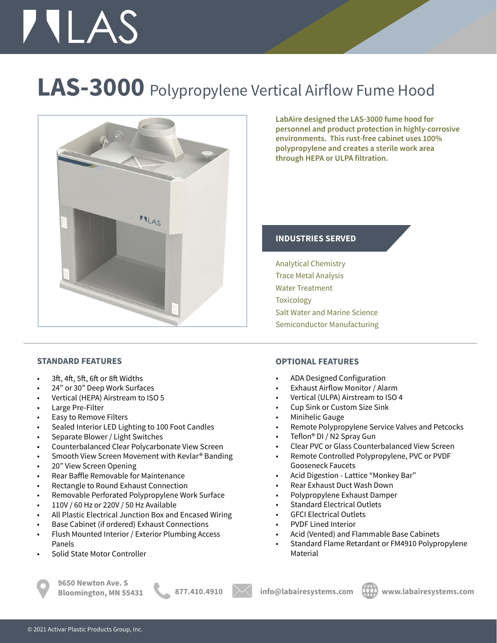# **TILAS**

### **LAS-3000** Polypropylene Vertical Airflow Fume Hood



**STANDARD FEATURES**

- 3ft, 4ft, 5ft, 6ft or 8ft Widths
- 24" or 30" Deep Work Surfaces
- Vertical (HEPA) Airstream to ISO 5
- Large Pre-Filter
- Easy to Remove Filters
- Sealed Interior LED Lighting to 100 Foot Candles
- Separate Blower / Light Switches
- Counterbalanced Clear Polycarbonate View Screen
- Smooth View Screen Movement with Kevlar® Banding
- 20" View Screen Opening
- Rear Baffle Removable for Maintenance
- Rectangle to Round Exhaust Connection
- Removable Perforated Polypropylene Work Surface
- 110V / 60 Hz or 220V / 50 Hz Available
- All Plastic Electrical Junction Box and Encased Wiring
- Base Cabinet (if ordered) Exhaust Connections
- Flush Mounted Interior / Exterior Plumbing Access Panels
- Solid State Motor Controller

**9650 Newton Ave. S**





**LabAire designed the LAS-3000 fume hood for personnel and product protection in highly-corrosive environments. This rust-free cabinet uses 100% polypropylene and creates a sterile work area through HEPA or ULPA filtration.** 

### **INDUSTRIES SERVED**

Analytical Chemistry Trace Metal Analysis Water Treatment Toxicology Salt Water and Marine Science Semiconductor Manufacturing

#### **OPTIONAL FEATURES**

- ADA Designed Configuration
- Exhaust Airflow Monitor / Alarm
- Vertical (ULPA) Airstream to ISO 4
- Cup Sink or Custom Size Sink
- Minihelic Gauge
- Remote Polypropylene Service Valves and Petcocks
- Teflon® DI / N2 Spray Gun
- Clear PVC or Glass Counterbalanced View Screen
- Remote Controlled Polypropylene, PVC or PVDF Gooseneck Faucets
- Acid Digestion Lattice "Monkey Bar"
- Rear Exhaust Duct Wash Down
- Polypropylene Exhaust Damper
- Standard Electrical Outlets
- GFCI Electrical Outlets
- PVDF Lined Interior
- Acid (Vented) and Flammable Base Cabinets
- Standard Flame Retardant or FM4910 Polypropylene Material